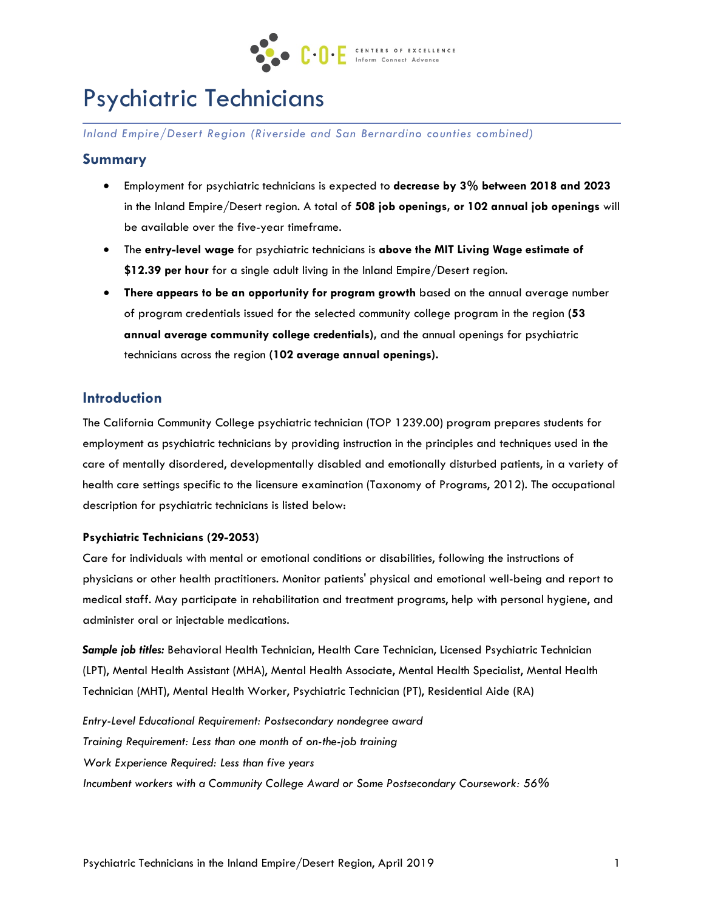

# Psychiatric Technicians

*Inland Empire/Desert Region (Riverside and San Bernardino counties combined)* 

#### **Summary**

- Employment for psychiatric technicians is expected to **decrease by 3% between 2018 and 2023**  in the Inland Empire/Desert region. A total of **508 job openings, or 102 annual job openings** will be available over the five-year timeframe.
- The **entry-level wage** for psychiatric technicians is **above the MIT Living Wage estimate of \$12.39 per hour** for a single adult living in the Inland Empire/Desert region.
- **There appears to be an opportunity for program growth** based on the annual average number of program credentials issued for the selected community college program in the region **(53 annual average community college credentials),** and the annual openings for psychiatric technicians across the region **(102 average annual openings).**

## **Introduction**

The California Community College psychiatric technician (TOP 1239.00) program prepares students for employment as psychiatric technicians by providing instruction in the principles and techniques used in the care of mentally disordered, developmentally disabled and emotionally disturbed patients, in a variety of health care settings specific to the licensure examination (Taxonomy of Programs, 2012). The occupational description for psychiatric technicians is listed below:

#### **Psychiatric Technicians (29-2053)**

Care for individuals with mental or emotional conditions or disabilities, following the instructions of physicians or other health practitioners. Monitor patients' physical and emotional well-being and report to medical staff. May participate in rehabilitation and treatment programs, help with personal hygiene, and administer oral or injectable medications.

*Sample job titles:* Behavioral Health Technician, Health Care Technician, Licensed Psychiatric Technician (LPT), Mental Health Assistant (MHA), Mental Health Associate, Mental Health Specialist, Mental Health Technician (MHT), Mental Health Worker, Psychiatric Technician (PT), Residential Aide (RA)

*Entry-Level Educational Requirement: Postsecondary nondegree award Training Requirement: Less than one month of on-the-job training Work Experience Required: Less than five years Incumbent workers with a Community College Award or Some Postsecondary Coursework: 56%*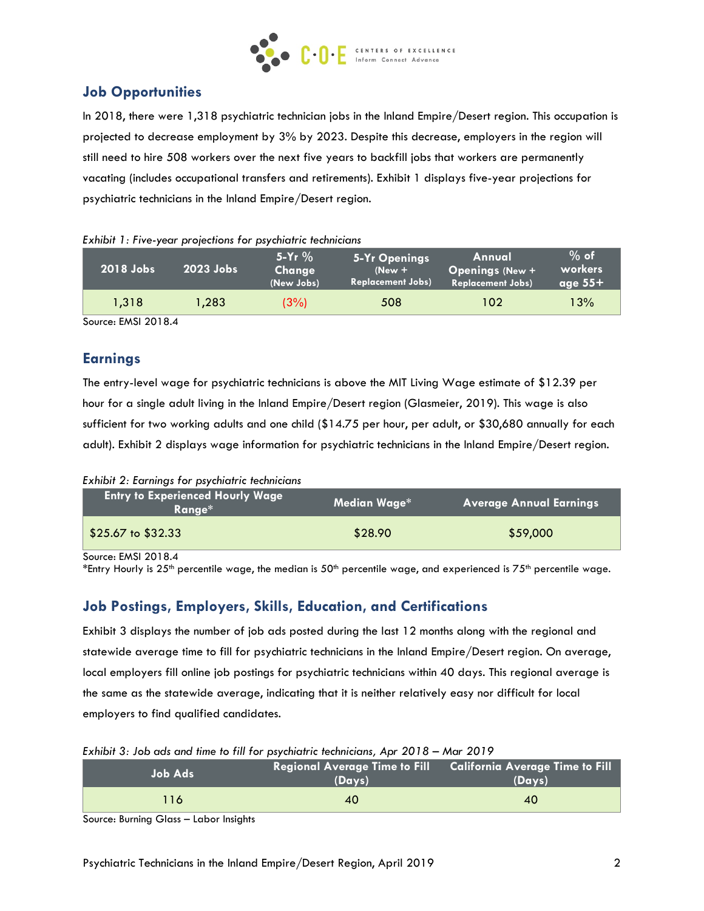

# **Job Opportunities**

In 2018, there were 1,318 psychiatric technician jobs in the Inland Empire/Desert region. This occupation is projected to decrease employment by 3% by 2023. Despite this decrease, employers in the region will still need to hire 508 workers over the next five years to backfill jobs that workers are permanently vacating (includes occupational transfers and retirements). Exhibit 1 displays five-year projections for psychiatric technicians in the Inland Empire/Desert region.

| 2018 Jobs | 2023 Jobs | 5-Yr $%$<br>Change<br>(New Jobs) | 5-Yr Openings<br>$New +$<br><b>Replacement Jobs)</b> | Annual<br><b>Openings (New +</b><br><b>Replacement Jobs)</b> | $%$ of<br>workers<br>age $55+$ |
|-----------|-----------|----------------------------------|------------------------------------------------------|--------------------------------------------------------------|--------------------------------|
| 1.318     | 1.283     | (3%)                             | 508                                                  | 102                                                          | 13%                            |

#### *Exhibit 1: Five-year projections for psychiatric technicians*

Source: EMSI 2018.4

## **Earnings**

The entry-level wage for psychiatric technicians is above the MIT Living Wage estimate of \$12.39 per hour for a single adult living in the Inland Empire/Desert region (Glasmeier, 2019). This wage is also sufficient for two working adults and one child (\$14.75 per hour, per adult, or \$30,680 annually for each adult). Exhibit 2 displays wage information for psychiatric technicians in the Inland Empire/Desert region.

| Exhibit 2: Earnings for psychiatric technicians |  |  |  |  |  |
|-------------------------------------------------|--|--|--|--|--|
|-------------------------------------------------|--|--|--|--|--|

| <b>Entry to Experienced Hourly Wage</b><br>"Ranae* | Median Wage* | <b>Average Annual Earnings</b> |
|----------------------------------------------------|--------------|--------------------------------|
| $$25.67$ to $$32.33$                               | \$28.90      | \$59,000                       |

Source: EMSI 2018.4

\*Entry Hourly is 25<sup>th</sup> percentile wage, the median is 50<sup>th</sup> percentile wage, and experienced is 75<sup>th</sup> percentile wage.

# **Job Postings, Employers, Skills, Education, and Certifications**

Exhibit 3 displays the number of job ads posted during the last 12 months along with the regional and statewide average time to fill for psychiatric technicians in the Inland Empire/Desert region. On average, local employers fill online job postings for psychiatric technicians within 40 days. This regional average is the same as the statewide average, indicating that it is neither relatively easy nor difficult for local employers to find qualified candidates.

|  |  |  |  | Exhibit 3: Job ads and time to fill for psychiatric technicians, Apr 2018 - Mar 2019 |  |  |
|--|--|--|--|--------------------------------------------------------------------------------------|--|--|
|  |  |  |  |                                                                                      |  |  |

| Job Ads | (Days) | (Days) |
|---------|--------|--------|
| 116     | 40     | 40     |

Source: Burning Glass – Labor Insights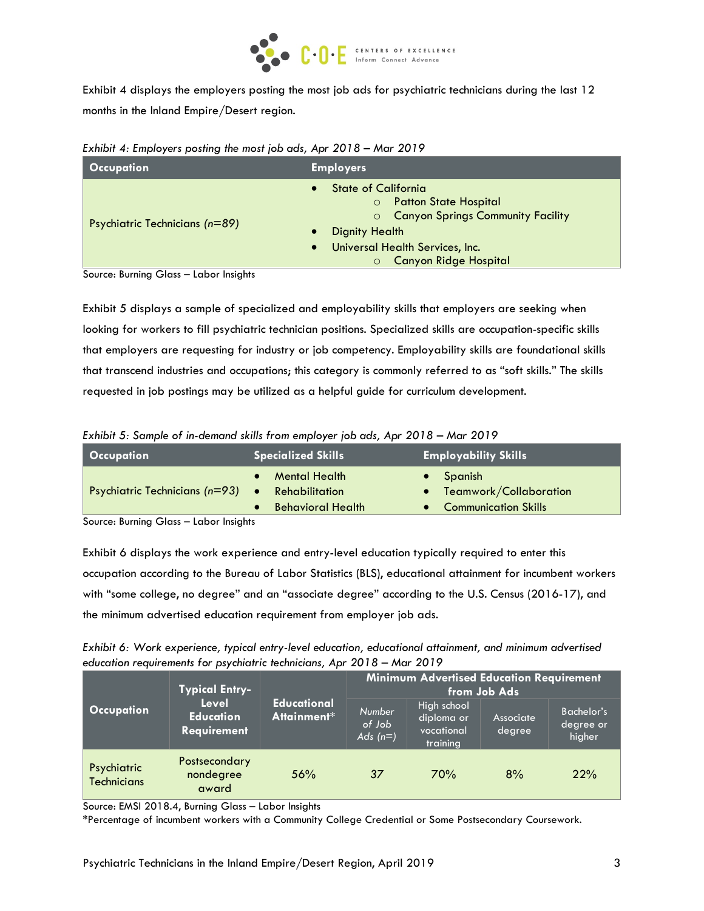

Exhibit 4 displays the employers posting the most job ads for psychiatric technicians during the last 12 months in the Inland Empire/Desert region.

|  |  |  | Exhibit 4: Employers posting the most job ads, Apr 2018 - Mar 2019 |
|--|--|--|--------------------------------------------------------------------|
|--|--|--|--------------------------------------------------------------------|

| <b>Occupation</b>              | <b>Employers</b>                                                                                                                                                                                  |  |  |  |  |
|--------------------------------|---------------------------------------------------------------------------------------------------------------------------------------------------------------------------------------------------|--|--|--|--|
| Psychiatric Technicians (n=89) | <b>State of California</b><br><b>Patton State Hospital</b><br>$\circ$<br>O Canyon Springs Community Facility<br>Dignity Health<br>Universal Health Services, Inc.<br><b>Canyon Ridge Hospital</b> |  |  |  |  |

Source: Burning Glass – Labor Insights

Exhibit 5 displays a sample of specialized and employability skills that employers are seeking when looking for workers to fill psychiatric technician positions. Specialized skills are occupation-specific skills that employers are requesting for industry or job competency. Employability skills are foundational skills that transcend industries and occupations; this category is commonly referred to as "soft skills." The skills requested in job postings may be utilized as a helpful guide for curriculum development.

*Exhibit 5: Sample of in-demand skills from employer job ads, Apr 2018 – Mar 2019*

| Occupation                                           | <b>Specialized Skills</b>                                          | <b>Employability Skills</b>                                             |
|------------------------------------------------------|--------------------------------------------------------------------|-------------------------------------------------------------------------|
| Psychiatric Technicians $(n=93)$ •                   | <b>Mental Health</b><br>Rehabilitation<br><b>Behavioral Health</b> | $\bullet$ Spanish<br>• Teamwork/Collaboration<br>• Communication Skills |
| Carriera - Drivetta al Ollara - Il alcora la staduta |                                                                    |                                                                         |

Source: Burning Glass – Labor Insights

Exhibit 6 displays the work experience and entry-level education typically required to enter this occupation according to the Bureau of Labor Statistics (BLS), educational attainment for incumbent workers with "some college, no degree" and an "associate degree" according to the U.S. Census (2016-17), and the minimum advertised education requirement from employer job ads.

| Exhibit 6: Work experience, typical entry-level education, educational attainment, and minimum advertised |
|-----------------------------------------------------------------------------------------------------------|
| education requirements for psychiatric technicians, Apr 2018 – Mar 2019                                   |

|                                   | <b>Typical Entry-</b><br>Level<br><b>Education</b><br>Requirement |                                   | Minimum Advertised Education Requirement<br>from Job Ads |                                                     |                     |                                   |  |
|-----------------------------------|-------------------------------------------------------------------|-----------------------------------|----------------------------------------------------------|-----------------------------------------------------|---------------------|-----------------------------------|--|
| <b>Occupation</b>                 |                                                                   | <b>Educational</b><br>Attainment* | <b>Number</b><br>of Job<br>Ads $(n=)$                    | High school<br>diploma or<br>vocational<br>training | Associate<br>degree | Bachelor's<br>degree or<br>higher |  |
| Psychiatric<br><b>Technicians</b> | Postsecondary<br>nondegree<br>award                               | 56%                               | 37                                                       | 70%                                                 | 8%                  | 22%                               |  |

Source: EMSI 2018.4, Burning Glass – Labor Insights

\*Percentage of incumbent workers with a Community College Credential or Some Postsecondary Coursework.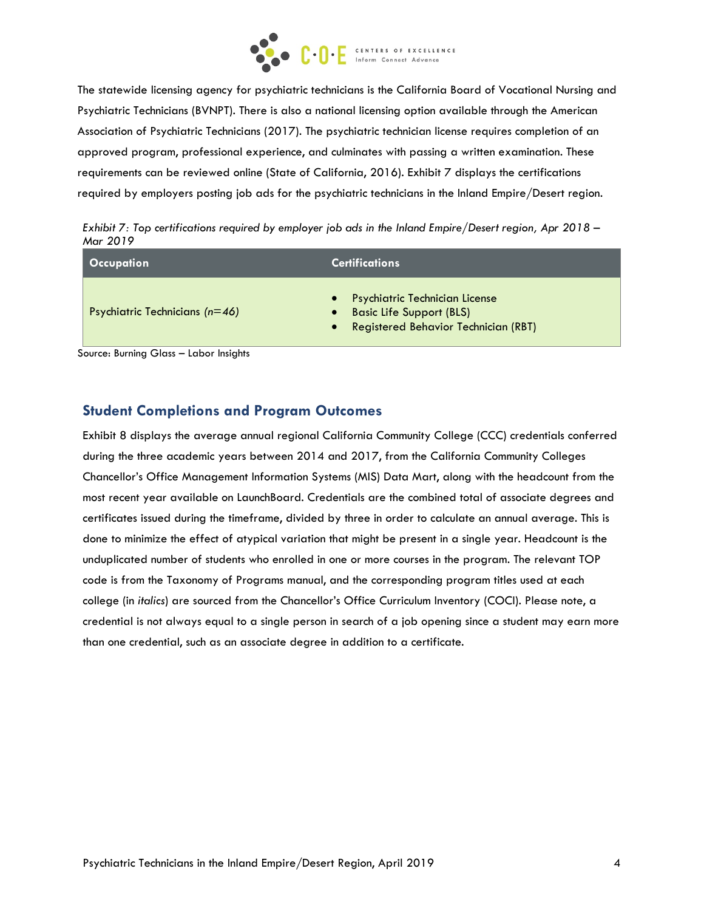

The statewide licensing agency for psychiatric technicians is the California Board of Vocational Nursing and Psychiatric Technicians (BVNPT). There is also a national licensing option available through the American Association of Psychiatric Technicians (2017). The psychiatric technician license requires completion of an approved program, professional experience, and culminates with passing a written examination. These requirements can be reviewed online (State of California, 2016). Exhibit 7 displays the certifications required by employers posting job ads for the psychiatric technicians in the Inland Empire/Desert region.

*Exhibit 7: Top certifications required by employer job ads in the Inland Empire/Desert region, Apr 2018 – Mar 2019*

| Occupation                       | <b>Certifications</b>                                                                                                                      |
|----------------------------------|--------------------------------------------------------------------------------------------------------------------------------------------|
| Psychiatric Technicians $(n=46)$ | <b>Psychiatric Technician License</b><br>$\bullet$<br><b>Basic Life Support (BLS)</b><br>Registered Behavior Technician (RBT)<br>$\bullet$ |

Source: Burning Glass – Labor Insights

#### **Student Completions and Program Outcomes**

Exhibit 8 displays the average annual regional California Community College (CCC) credentials conferred during the three academic years between 2014 and 2017, from the California Community Colleges Chancellor's Office Management Information Systems (MIS) Data Mart, along with the headcount from the most recent year available on LaunchBoard. Credentials are the combined total of associate degrees and certificates issued during the timeframe, divided by three in order to calculate an annual average. This is done to minimize the effect of atypical variation that might be present in a single year. Headcount is the unduplicated number of students who enrolled in one or more courses in the program. The relevant TOP code is from the Taxonomy of Programs manual, and the corresponding program titles used at each college (in *italics*) are sourced from the Chancellor's Office Curriculum Inventory (COCI). Please note, a credential is not always equal to a single person in search of a job opening since a student may earn more than one credential, such as an associate degree in addition to a certificate.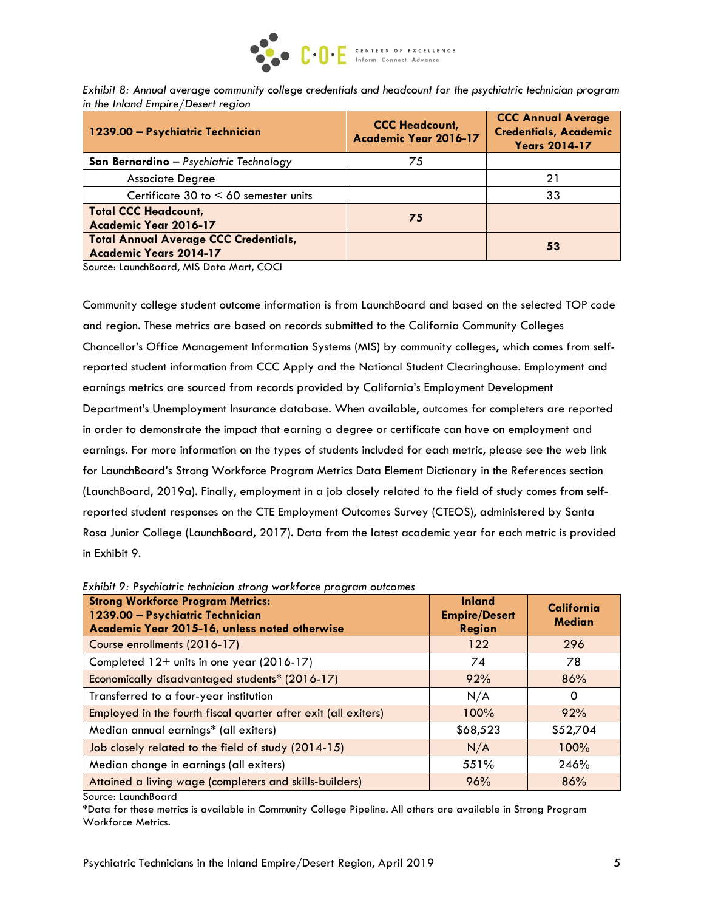

*Exhibit 8: Annual average community college credentials and headcount for the psychiatric technician program in the Inland Empire/Desert region*

| 1239.00 - Psychiatric Technician                                              | <b>CCC Headcount,</b><br>Academic Year 2016-17 | <b>CCC Annual Average</b><br><b>Credentials, Academic</b><br><b>Years 2014-17</b> |
|-------------------------------------------------------------------------------|------------------------------------------------|-----------------------------------------------------------------------------------|
| San Bernardino - Psychiatric Technology                                       | 75                                             |                                                                                   |
| <b>Associate Degree</b>                                                       |                                                | 21                                                                                |
| Certificate 30 to $< 60$ semester units                                       |                                                | 33                                                                                |
| <b>Total CCC Headcount,</b><br>Academic Year 2016-17                          | 75                                             |                                                                                   |
| <b>Total Annual Average CCC Credentials,</b><br><b>Academic Years 2014-17</b> |                                                | 53                                                                                |

Source: LaunchBoard, MIS Data Mart, COCI

Community college student outcome information is from LaunchBoard and based on the selected TOP code and region. These metrics are based on records submitted to the California Community Colleges Chancellor's Office Management Information Systems (MIS) by community colleges, which comes from selfreported student information from CCC Apply and the National Student Clearinghouse. Employment and earnings metrics are sourced from records provided by California's Employment Development Department's Unemployment Insurance database. When available, outcomes for completers are reported in order to demonstrate the impact that earning a degree or certificate can have on employment and earnings. For more information on the types of students included for each metric, please see the web link for LaunchBoard's Strong Workforce Program Metrics Data Element Dictionary in the References section (LaunchBoard, 2019a). Finally, employment in a job closely related to the field of study comes from selfreported student responses on the CTE Employment Outcomes Survey (CTEOS), administered by Santa Rosa Junior College (LaunchBoard, 2017). Data from the latest academic year for each metric is provided in Exhibit 9.

| <b>Strong Workforce Program Metrics:</b><br>1239.00 - Psychiatric Technician<br>Academic Year 2015-16, unless noted otherwise | <b>Inland</b><br><b>Empire/Desert</b><br><b>Region</b> | California<br><b>Median</b> |
|-------------------------------------------------------------------------------------------------------------------------------|--------------------------------------------------------|-----------------------------|
| Course enrollments (2016-17)                                                                                                  | 122                                                    | 296                         |
| Completed 12+ units in one year (2016-17)                                                                                     | 74                                                     | 78                          |
| Economically disadvantaged students* (2016-17)                                                                                | 92%                                                    | 86%                         |
| Transferred to a four-year institution                                                                                        | N/A                                                    | 0                           |
| Employed in the fourth fiscal quarter after exit (all exiters)                                                                | 100%                                                   | 92%                         |
| Median annual earnings* (all exiters)                                                                                         | \$68,523                                               | \$52,704                    |
| Job closely related to the field of study (2014-15)                                                                           | N/A                                                    | 100%                        |
| Median change in earnings (all exiters)                                                                                       | 551%                                                   | 246%                        |
| Attained a living wage (completers and skills-builders)                                                                       | 96%                                                    | 86%                         |

*Exhibit 9: Psychiatric technician strong workforce program outcomes*

Source: LaunchBoard

\*Data for these metrics is available in Community College Pipeline. All others are available in Strong Program Workforce Metrics.